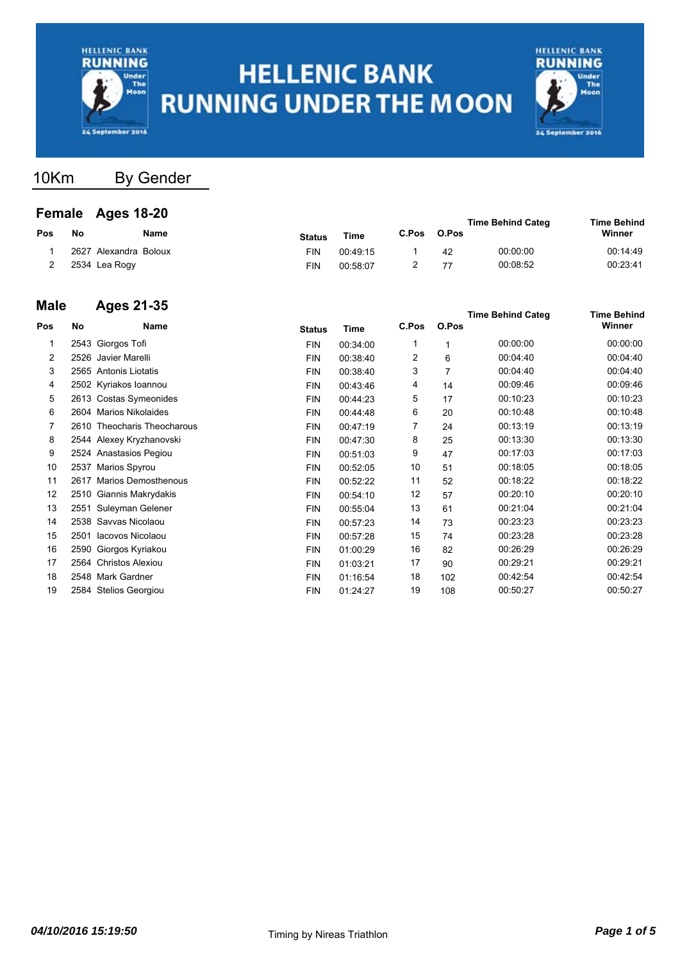



10Km By Gender

#### **Female Ages 18-20**

|    |      |                                        |          |                          |    |          | <b>Time Behind</b>                |
|----|------|----------------------------------------|----------|--------------------------|----|----------|-----------------------------------|
| No | Name | <b>Status</b>                          | Time     | C.Pos                    |    |          | Winner                            |
|    |      | FIN                                    | 00:49:15 |                          | 42 | 00:00:00 | 00:14:49                          |
|    |      | FIN                                    | 00:58:07 |                          |    | 00:08:52 | 00:23:41                          |
|    |      | 2627 Alexandra Boloux<br>2534 Lea Rogy |          | <b>Female Ages 16-20</b> |    |          | <b>Time Behind Categ</b><br>O.Pos |

#### **Male Ages 21-35**

|      | Ayas 41-99                 |                                                                                                                                                                                                                                                                                                                                                                                            |          |                |     |          | <b>Time Behind</b>                |
|------|----------------------------|--------------------------------------------------------------------------------------------------------------------------------------------------------------------------------------------------------------------------------------------------------------------------------------------------------------------------------------------------------------------------------------------|----------|----------------|-----|----------|-----------------------------------|
| No   | Name                       | <b>Status</b>                                                                                                                                                                                                                                                                                                                                                                              | Time     | C.Pos          |     |          | Winner                            |
|      |                            | <b>FIN</b>                                                                                                                                                                                                                                                                                                                                                                                 | 00:34:00 | 1              |     | 00:00:00 | 00:00:00                          |
| 2526 | Javier Marelli             | <b>FIN</b>                                                                                                                                                                                                                                                                                                                                                                                 | 00:38:40 | $\overline{2}$ | 6   | 00:04:40 | 00:04:40                          |
|      |                            | <b>FIN</b>                                                                                                                                                                                                                                                                                                                                                                                 | 00:38:40 | 3              | 7   | 00:04:40 | 00:04:40                          |
|      |                            | <b>FIN</b>                                                                                                                                                                                                                                                                                                                                                                                 | 00:43:46 | 4              | 14  | 00:09:46 | 00:09:46                          |
|      |                            | <b>FIN</b>                                                                                                                                                                                                                                                                                                                                                                                 | 00:44:23 | 5              | 17  | 00:10:23 | 00:10:23                          |
|      |                            | <b>FIN</b>                                                                                                                                                                                                                                                                                                                                                                                 | 00:44:48 | 6              | 20  | 00:10:48 | 00:10:48                          |
|      | Theocharis Theocharous     | <b>FIN</b>                                                                                                                                                                                                                                                                                                                                                                                 | 00:47:19 | 7              | 24  | 00:13:19 | 00:13:19                          |
|      |                            | <b>FIN</b>                                                                                                                                                                                                                                                                                                                                                                                 | 00:47:30 | 8              | 25  | 00:13:30 | 00:13:30                          |
|      |                            | <b>FIN</b>                                                                                                                                                                                                                                                                                                                                                                                 | 00:51:03 | 9              | 47  | 00:17:03 | 00:17:03                          |
|      |                            | <b>FIN</b>                                                                                                                                                                                                                                                                                                                                                                                 | 00:52:05 | 10             | 51  | 00:18:05 | 00:18:05                          |
| 2617 | <b>Marios Demosthenous</b> | <b>FIN</b>                                                                                                                                                                                                                                                                                                                                                                                 | 00:52:22 | 11             | 52  | 00:18:22 | 00:18:22                          |
|      |                            | <b>FIN</b>                                                                                                                                                                                                                                                                                                                                                                                 | 00:54:10 | 12             | 57  | 00:20:10 | 00:20:10                          |
|      |                            | <b>FIN</b>                                                                                                                                                                                                                                                                                                                                                                                 | 00:55:04 | 13             | 61  | 00:21:04 | 00:21:04                          |
|      |                            | <b>FIN</b>                                                                                                                                                                                                                                                                                                                                                                                 | 00:57:23 | 14             | 73  | 00:23:23 | 00:23:23                          |
| 2501 | Iacovos Nicolaou           | <b>FIN</b>                                                                                                                                                                                                                                                                                                                                                                                 | 00:57:28 | 15             | 74  | 00:23:28 | 00:23:28                          |
|      |                            | <b>FIN</b>                                                                                                                                                                                                                                                                                                                                                                                 | 01:00:29 | 16             | 82  | 00:26:29 | 00:26:29                          |
|      |                            | <b>FIN</b>                                                                                                                                                                                                                                                                                                                                                                                 | 01:03:21 | 17             | 90  | 00:29:21 | 00:29:21                          |
|      |                            | <b>FIN</b>                                                                                                                                                                                                                                                                                                                                                                                 | 01:16:54 | 18             | 102 | 00:42:54 | 00:42:54                          |
|      |                            | <b>FIN</b>                                                                                                                                                                                                                                                                                                                                                                                 | 01:24:27 | 19             | 108 | 00:50:27 | 00:50:27                          |
|      |                            | 2543 Giorgos Tofi<br>2565 Antonis Liotatis<br>2502 Kyriakos Ioannou<br>2613 Costas Symeonides<br>2604 Marios Nikolaides<br>2610<br>2544 Alexey Kryzhanovski<br>2524 Anastasios Pegiou<br>2537 Marios Spyrou<br>2510 Giannis Makrydakis<br>Suleyman Gelener<br>2551<br>2538 Savvas Nicolaou<br>2590 Giorgos Kyriakou<br>2564 Christos Alexiou<br>2548 Mark Gardner<br>2584 Stelios Georgiou |          |                |     |          | <b>Time Behind Categ</b><br>O.Pos |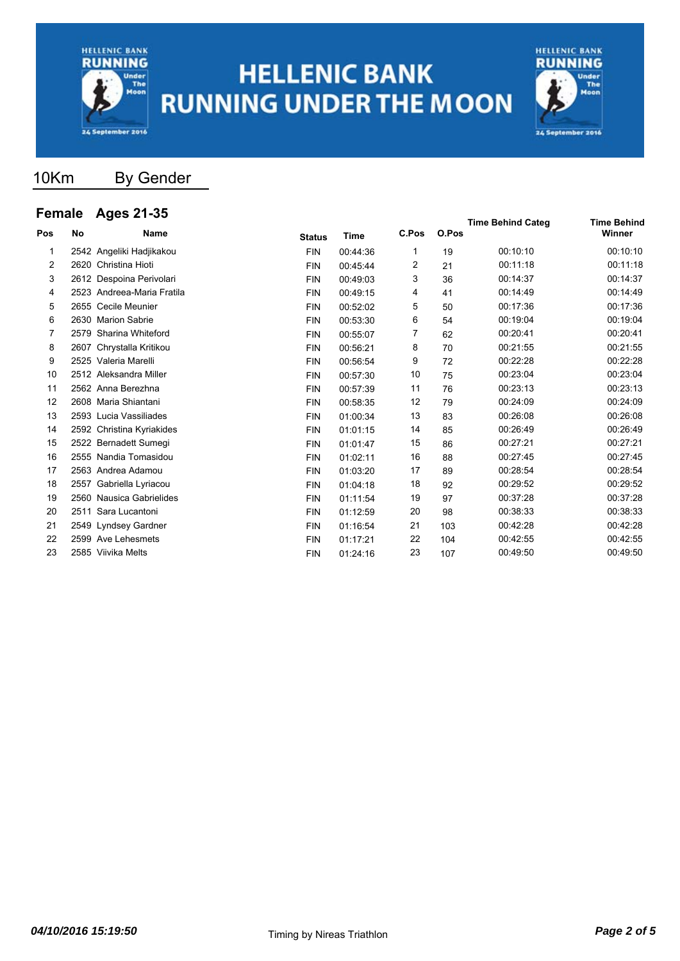



### 10Km By Gender

### **Female Ages 21-35**

| סווומוס |    | Ayus 41-99                 |               |             |       |       | <b>Time Behind Categ</b> | <b>Time Behind</b> |  |
|---------|----|----------------------------|---------------|-------------|-------|-------|--------------------------|--------------------|--|
| Pos     | No | <b>Name</b>                | <b>Status</b> | <b>Time</b> | C.Pos | O.Pos |                          | Winner             |  |
| 1       |    | 2542 Angeliki Hadjikakou   | <b>FIN</b>    | 00:44:36    | 1     | 19    | 00:10:10                 | 00:10:10           |  |
| 2       |    | 2620 Christina Hioti       | <b>FIN</b>    | 00:45:44    | 2     | 21    | 00:11:18                 | 00:11:18           |  |
| 3       |    | 2612 Despoina Perivolari   | <b>FIN</b>    | 00:49:03    | 3     | 36    | 00:14:37                 | 00:14:37           |  |
| 4       |    | 2523 Andreea-Maria Fratila | <b>FIN</b>    | 00:49:15    | 4     | 41    | 00:14:49                 | 00:14:49           |  |
| 5       |    | 2655 Cecile Meunier        | <b>FIN</b>    | 00:52:02    | 5     | 50    | 00:17:36                 | 00:17:36           |  |
| 6       |    | 2630 Marion Sabrie         | <b>FIN</b>    | 00:53:30    | 6     | 54    | 00:19:04                 | 00:19:04           |  |
| 7       |    | 2579 Sharina Whiteford     | <b>FIN</b>    | 00:55:07    | 7     | 62    | 00:20:41                 | 00:20:41           |  |
| 8       |    | 2607 Chrystalla Kritikou   | <b>FIN</b>    | 00:56:21    | 8     | 70    | 00:21:55                 | 00:21:55           |  |
| 9       |    | 2525 Valeria Marelli       | <b>FIN</b>    | 00:56:54    | 9     | 72    | 00:22:28                 | 00:22:28           |  |
| 10      |    | 2512 Aleksandra Miller     | <b>FIN</b>    | 00:57:30    | 10    | 75    | 00:23:04                 | 00:23:04           |  |
| 11      |    | 2562 Anna Berezhna         | <b>FIN</b>    | 00:57:39    | 11    | 76    | 00:23:13                 | 00:23:13           |  |
| 12      |    | 2608 Maria Shiantani       | <b>FIN</b>    | 00:58:35    | 12    | 79    | 00:24:09                 | 00:24:09           |  |
| 13      |    | 2593 Lucia Vassiliades     | <b>FIN</b>    | 01:00:34    | 13    | 83    | 00:26:08                 | 00:26:08           |  |
| 14      |    | 2592 Christina Kyriakides  | <b>FIN</b>    | 01:01:15    | 14    | 85    | 00:26:49                 | 00:26:49           |  |
| 15      |    | 2522 Bernadett Sumegi      | <b>FIN</b>    | 01:01:47    | 15    | 86    | 00:27:21                 | 00:27:21           |  |
| 16      |    | 2555 Nandia Tomasidou      | <b>FIN</b>    | 01:02:11    | 16    | 88    | 00:27:45                 | 00:27:45           |  |
| 17      |    | 2563 Andrea Adamou         | <b>FIN</b>    | 01:03:20    | 17    | 89    | 00:28:54                 | 00:28:54           |  |
| 18      |    | 2557 Gabriella Lyriacou    | <b>FIN</b>    | 01:04:18    | 18    | 92    | 00:29:52                 | 00:29:52           |  |
| 19      |    | 2560 Nausica Gabrielides   | <b>FIN</b>    | 01:11:54    | 19    | 97    | 00:37:28                 | 00:37:28           |  |
| 20      |    | 2511 Sara Lucantoni        | <b>FIN</b>    | 01:12:59    | 20    | 98    | 00:38:33                 | 00:38:33           |  |
| 21      |    | 2549 Lyndsey Gardner       | <b>FIN</b>    | 01:16:54    | 21    | 103   | 00:42:28                 | 00:42:28           |  |
| 22      |    | 2599 Ave Lehesmets         | <b>FIN</b>    | 01:17:21    | 22    | 104   | 00:42:55                 | 00:42:55           |  |
| 23      |    | 2585 Viivika Melts         | <b>FIN</b>    | 01:24:16    | 23    | 107   | 00:49:50                 | 00:49:50           |  |
|         |    |                            |               |             |       |       |                          |                    |  |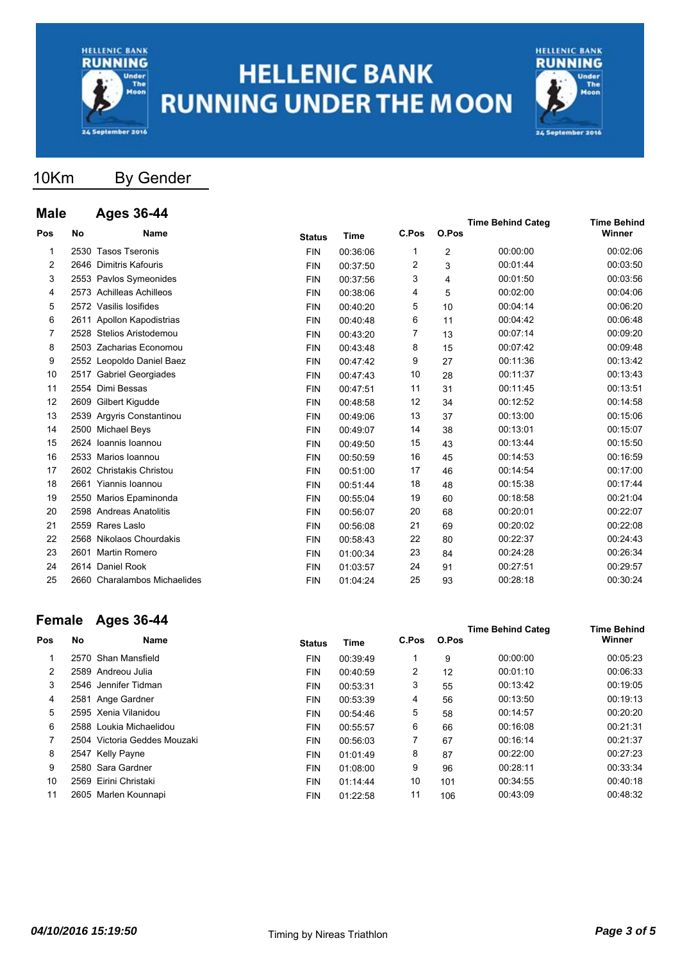



### 10Km By Gender

### **Male Ages 36-44**

| mare |      | дуеэ эр-44                   |               |          |       |                | <b>Time Behind Categ</b> | <b>Time Behind</b> |
|------|------|------------------------------|---------------|----------|-------|----------------|--------------------------|--------------------|
| Pos  | No   | <b>Name</b>                  | <b>Status</b> | Time     | C.Pos | O.Pos          |                          | Winner             |
| 1    |      | 2530 Tasos Tseronis          | <b>FIN</b>    | 00:36:06 | 1     | $\overline{2}$ | 00:00:00                 | 00:02:06           |
| 2    |      | 2646 Dimitris Kafouris       | <b>FIN</b>    | 00:37:50 | 2     | 3              | 00:01:44                 | 00:03:50           |
| 3    |      | 2553 Pavlos Symeonides       | <b>FIN</b>    | 00:37:56 | 3     | 4              | 00:01:50                 | 00:03:56           |
| 4    |      | 2573 Achilleas Achilleos     | <b>FIN</b>    | 00:38:06 | 4     | 5              | 00:02:00                 | 00:04:06           |
| 5    |      | 2572 Vasilis losifides       | <b>FIN</b>    | 00:40:20 | 5     | 10             | 00:04:14                 | 00:06:20           |
| 6    |      | 2611 Apollon Kapodistrias    | <b>FIN</b>    | 00:40:48 | 6     | 11             | 00:04:42                 | 00:06:48           |
| 7    |      | 2528 Stelios Aristodemou     | <b>FIN</b>    | 00:43:20 | 7     | 13             | 00:07:14                 | 00:09:20           |
| 8    | 2503 | Zacharias Economou           | <b>FIN</b>    | 00:43:48 | 8     | 15             | 00:07:42                 | 00:09:48           |
| 9    |      | 2552 Leopoldo Daniel Baez    | <b>FIN</b>    | 00:47:42 | 9     | 27             | 00:11:36                 | 00:13:42           |
| 10   |      | 2517 Gabriel Georgiades      | <b>FIN</b>    | 00:47:43 | 10    | 28             | 00:11:37                 | 00:13:43           |
| 11   |      | 2554 Dimi Bessas             | <b>FIN</b>    | 00:47:51 | 11    | 31             | 00:11:45                 | 00:13:51           |
| 12   | 2609 | Gilbert Kigudde              | <b>FIN</b>    | 00:48:58 | 12    | 34             | 00:12:52                 | 00:14:58           |
| 13   |      | 2539 Argyris Constantinou    | <b>FIN</b>    | 00:49:06 | 13    | 37             | 00:13:00                 | 00:15:06           |
| 14   |      | 2500 Michael Beys            | <b>FIN</b>    | 00:49:07 | 14    | 38             | 00:13:01                 | 00:15:07           |
| 15   |      | 2624 Ioannis Ioannou         | <b>FIN</b>    | 00:49:50 | 15    | 43             | 00:13:44                 | 00:15:50           |
| 16   |      | 2533 Marios Ioannou          | <b>FIN</b>    | 00:50:59 | 16    | 45             | 00:14:53                 | 00:16:59           |
| 17   |      | 2602 Christakis Christou     | <b>FIN</b>    | 00:51:00 | 17    | 46             | 00:14:54                 | 00:17:00           |
| 18   |      | 2661 Yiannis Ioannou         | <b>FIN</b>    | 00:51:44 | 18    | 48             | 00:15:38                 | 00:17:44           |
| 19   |      | 2550 Marios Epaminonda       | <b>FIN</b>    | 00:55:04 | 19    | 60             | 00:18:58                 | 00:21:04           |
| 20   |      | 2598 Andreas Anatolitis      | <b>FIN</b>    | 00:56:07 | 20    | 68             | 00:20:01                 | 00:22:07           |
| 21   |      | 2559 Rares Laslo             | <b>FIN</b>    | 00:56:08 | 21    | 69             | 00:20:02                 | 00:22:08           |
| 22   |      | 2568 Nikolaos Chourdakis     | <b>FIN</b>    | 00:58:43 | 22    | 80             | 00:22:37                 | 00:24:43           |
| 23   |      | 2601 Martin Romero           | <b>FIN</b>    | 01:00:34 | 23    | 84             | 00:24:28                 | 00:26:34           |
| 24   |      | 2614 Daniel Rook             | <b>FIN</b>    | 01:03:57 | 24    | 91             | 00:27:51                 | 00:29:57           |
| 25   |      | 2660 Charalambos Michaelides | <b>FIN</b>    | 01:04:24 | 25    | 93             | 00:28:18                 | 00:30:24           |
|      |      |                              |               |          |       |                |                          |                    |

### **Female Ages 36-44**

| י טווועוט |    | Ayuu vu TT                   |               |          |       |       | <b>Time Behind Categ</b> | <b>Time Behind</b> |
|-----------|----|------------------------------|---------------|----------|-------|-------|--------------------------|--------------------|
| Pos       | No | <b>Name</b>                  | <b>Status</b> | Time     | C.Pos | O.Pos |                          | Winner             |
|           |    | 2570 Shan Mansfield          | <b>FIN</b>    | 00:39:49 |       | 9     | 00:00:00                 | 00:05:23           |
| 2         |    | 2589 Andreou Julia           | <b>FIN</b>    | 00:40:59 | 2     | 12    | 00:01:10                 | 00:06:33           |
| 3         |    | 2546 Jennifer Tidman         | <b>FIN</b>    | 00:53:31 | 3     | 55    | 00:13:42                 | 00:19:05           |
| 4         |    | 2581 Ange Gardner            | <b>FIN</b>    | 00:53:39 | 4     | 56    | 00:13:50                 | 00:19:13           |
| 5         |    | 2595 Xenia Vilanidou         | <b>FIN</b>    | 00:54:46 | 5     | 58    | 00:14:57                 | 00:20:20           |
| 6         |    | 2588 Loukia Michaelidou      | <b>FIN</b>    | 00:55:57 | 6     | 66    | 00:16:08                 | 00:21:31           |
|           |    | 2504 Victoria Geddes Mouzaki | <b>FIN</b>    | 00:56:03 | 7     | 67    | 00:16:14                 | 00:21:37           |
| 8         |    | 2547 Kelly Payne             | <b>FIN</b>    | 01:01:49 | 8     | 87    | 00:22:00                 | 00:27:23           |
| 9         |    | 2580 Sara Gardner            | <b>FIN</b>    | 01:08:00 | 9     | 96    | 00:28:11                 | 00:33:34           |
| 10        |    | 2569 Eirini Christaki        | <b>FIN</b>    | 01:14:44 | 10    | 101   | 00:34:55                 | 00:40:18           |
| 11        |    | 2605 Marlen Kounnapi         | <b>FIN</b>    | 01:22:58 | 11    | 106   | 00:43:09                 | 00:48:32           |
|           |    |                              |               |          |       |       |                          |                    |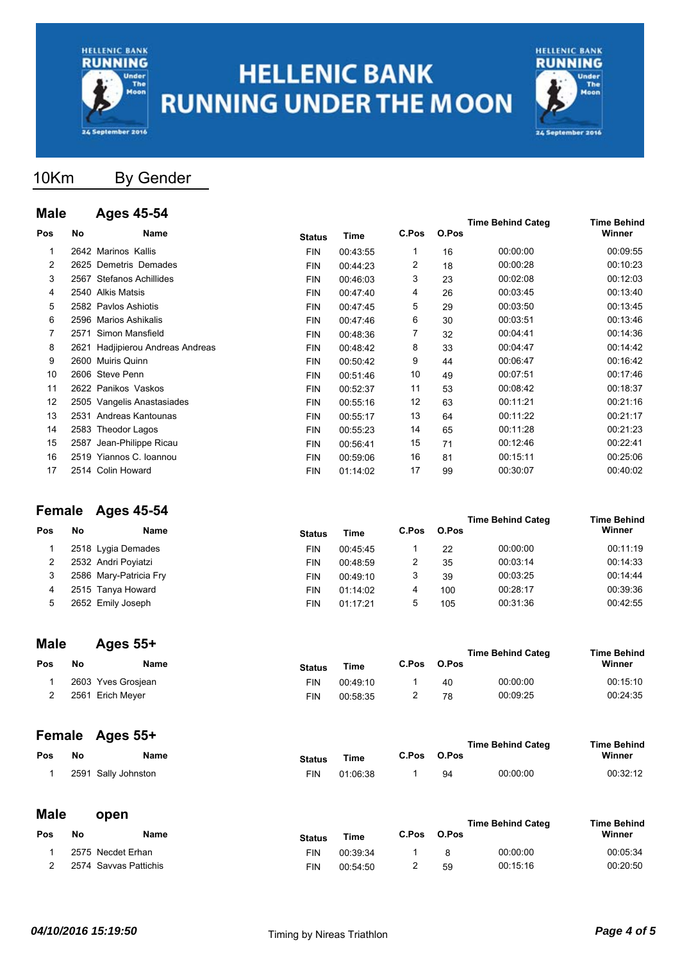



### 10Km By Gender

#### **Male Ages 45-54**

| Mar            |      | лусэ то-от                  |               |          |       |       | <b>Time Behind Categ</b> | <b>Time Behind</b> |
|----------------|------|-----------------------------|---------------|----------|-------|-------|--------------------------|--------------------|
| Pos            | No   | Name                        | <b>Status</b> | Time     | C.Pos | O.Pos |                          | Winner             |
| 1              |      | 2642 Marinos Kallis         | <b>FIN</b>    | 00:43:55 | 1     | 16    | 00:00:00                 | 00:09:55           |
| $\overline{2}$ |      | 2625 Demetris Demades       | <b>FIN</b>    | 00:44:23 | 2     | 18    | 00:00:28                 | 00:10:23           |
| 3              |      | 2567 Stefanos Achillides    | <b>FIN</b>    | 00:46:03 | 3     | 23    | 00:02:08                 | 00:12:03           |
| 4              |      | 2540 Alkis Matsis           | <b>FIN</b>    | 00:47:40 | 4     | 26    | 00:03:45                 | 00:13:40           |
| 5              |      | 2582 Paylos Ashiotis        | <b>FIN</b>    | 00:47:45 | 5     | 29    | 00:03:50                 | 00:13:45           |
| 6              |      | 2596 Marios Ashikalis       | <b>FIN</b>    | 00:47:46 | 6     | 30    | 00:03:51                 | 00:13:46           |
|                | 2571 | Simon Mansfield             | <b>FIN</b>    | 00:48:36 | 7     | 32    | 00:04:41                 | 00:14:36           |
| 8              | 2621 | Hadjipierou Andreas Andreas | <b>FIN</b>    | 00:48:42 | 8     | 33    | 00:04:47                 | 00:14:42           |
| 9              |      | 2600 Muiris Quinn           | <b>FIN</b>    | 00:50:42 | 9     | 44    | 00:06:47                 | 00:16:42           |
| 10             |      | 2606 Steve Penn             | <b>FIN</b>    | 00:51:46 | 10    | 49    | 00:07:51                 | 00:17:46           |
| 11             |      | 2622 Panikos Vaskos         | <b>FIN</b>    | 00:52:37 | 11    | 53    | 00:08:42                 | 00:18:37           |
| 12             |      | 2505 Vangelis Anastasiades  | <b>FIN</b>    | 00:55:16 | 12    | 63    | 00:11:21                 | 00:21:16           |
| 13             |      | 2531 Andreas Kantounas      | <b>FIN</b>    | 00:55:17 | 13    | 64    | 00:11:22                 | 00:21:17           |
| 14             |      | 2583 Theodor Lagos          | <b>FIN</b>    | 00:55:23 | 14    | 65    | 00:11:28                 | 00:21:23           |
| 15             | 2587 | Jean-Philippe Ricau         | <b>FIN</b>    | 00:56:41 | 15    | 71    | 00:12:46                 | 00:22:41           |
| 16             |      | 2519 Yiannos C. Ioannou     | <b>FIN</b>    | 00:59:06 | 16    | 81    | 00:15:11                 | 00:25:06           |
| 17             |      | 2514 Colin Howard           | <b>FIN</b>    | 01:14:02 | 17    | 99    | 00:30:07                 | 00:40:02           |
|                |      |                             |               |          |       |       |                          |                    |

### **Female Ages 45-54**

|     |    | $1 \times 1100 \times 7900 + 87$ |               |          |       |       | <b>Time Behind Categ</b> | <b>Time Behind</b> |
|-----|----|----------------------------------|---------------|----------|-------|-------|--------------------------|--------------------|
| Pos | No | <b>Name</b>                      | <b>Status</b> | Time     | C.Pos | O.Pos |                          | Winner             |
|     |    | 2518 Lygia Demades               | <b>FIN</b>    | 00:45:45 |       | 22    | 00:00:00                 | 00:11:19           |
|     |    | 2532 Andri Poyiatzi              | <b>FIN</b>    | 00:48:59 | 2     | 35    | 00:03:14                 | 00:14:33           |
|     |    | 2586 Mary-Patricia Fry           | <b>FIN</b>    | 00:49:10 | 3     | 39    | 00:03:25                 | 00:14:44           |
| 4   |    | 2515 Tanya Howard                | <b>FIN</b>    | 01:14:02 | 4     | 100   | 00:28:17                 | 00:39:36           |
| 5   |    | 2652 Emily Joseph                | <b>FIN</b>    | 01:17:21 | 5     | 105   | 00:31:36                 | 00:42:55           |
|     |    |                                  |               |          |       |       |                          |                    |

#### **Male Ages 55+**

| marc       |    | нусэ ээт           |               |          |       |       | <b>Time Behind Categ</b> | <b>Time Behind</b> |
|------------|----|--------------------|---------------|----------|-------|-------|--------------------------|--------------------|
| <b>Pos</b> | No | Name               | <b>Status</b> | Time     | C.Pos | O.Pos |                          | Winner             |
|            |    | 2603 Yves Grosjean | FIN           | 00:49:10 |       | 40    | 00:00:00                 | 00:15:10           |
|            |    | 2561 Erich Meyer   | FIN           | 00:58:35 | -     | 78    | 00:09:25                 | 00:24:35           |

### **Female Ages 55+**

|     |    | <b>FUILDING AGES 33T</b> |               |             |       |       | <b>Time Behind Categ</b> | <b>Time Behind</b> |
|-----|----|--------------------------|---------------|-------------|-------|-------|--------------------------|--------------------|
| Pos | Nο | Name                     | <b>Status</b> | <b>Time</b> | C.Pos | O.Pos |                          | Winner             |
|     |    | 2591 Sally Johnston      | FIN           | 01:06:38    |       | 94    | 00:00:00                 | 00:32:12           |

#### **Male open**

|     |                       |      |               |          | <b>Time Behind Categ</b> | Time Behind |          |          |
|-----|-----------------------|------|---------------|----------|--------------------------|-------------|----------|----------|
| Pos | No                    | Name | <b>Status</b> | Time     |                          | C.Pos O.Pos |          | Winner   |
|     | 2575 Necdet Erhan     |      | FIN           | 00:39:34 |                          | R           | 00:00:00 | 00:05:34 |
|     | 2574 Savvas Pattichis |      | FIN           | 00:54:50 | -                        | 59          | 00:15:16 | 00:20:50 |